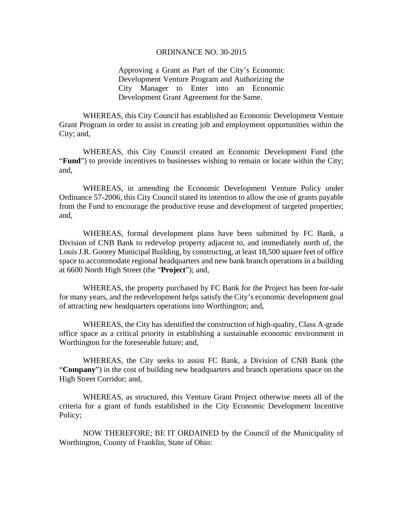## ORDINANCE NO. 30-2015

Approving a Grant as Part of the City's Economic Development Venture Program and Authorizing the City Manager to Enter into an Economic Development Grant Agreement for the Same.

WHEREAS, this City Council has established an Economic Development Venture Grant Program in order to assist in creating job and employment opportunities within the City; and,

WHEREAS, this City Council created an Economic Development Fund (the "**Fund**") to provide incentives to businesses wishing to remain or locate within the City; and,

WHEREAS, in amending the Economic Development Venture Policy under Ordinance 57-2006, this City Council stated its intention to allow the use of grants payable from the Fund to encourage the productive reuse and development of targeted properties; and,

WHEREAS, formal development plans have been submitted by FC Bank, a Division of CNB Bank to redevelop property adjacent to, and immediately north of, the Louis J.R. Goorey Municipal Building, by constructing, at least 18,500 square feet of office space to accommodate regional headquarters and new bank branch operations in a building at 6600 North High Street (the "**Project**"); and,

WHEREAS, the property purchased by FC Bank for the Project has been for-sale for many years, and the redevelopment helps satisfy the City's economic development goal of attracting new headquarters operations into Worthington; and,

WHEREAS, the City has identified the construction of high-quality, Class A-grade office space as a critical priority in establishing a sustainable economic environment in Worthington for the foreseeable future; and,

WHEREAS, the City seeks to assist FC Bank, a Division of CNB Bank (the "**Company**") in the cost of building new headquarters and branch operations space on the High Street Corridor; and,

WHEREAS, as structured, this Venture Grant Project otherwise meets all of the criteria for a grant of funds established in the City Economic Development Incentive Policy;

NOW THEREFORE; BE IT ORDAINED by the Council of the Municipality of Worthington, County of Franklin, State of Ohio: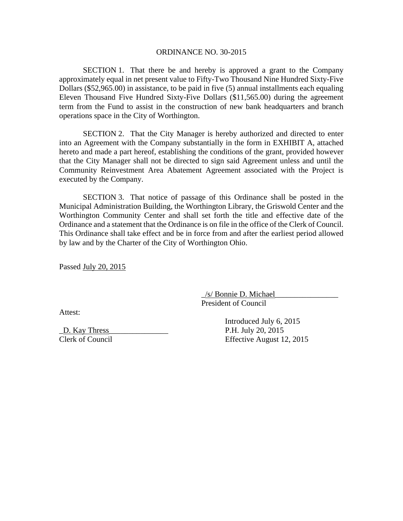## ORDINANCE NO. 30-2015

SECTION 1. That there be and hereby is approved a grant to the Company approximately equal in net present value to Fifty-Two Thousand Nine Hundred Sixty-Five Dollars (\$52,965.00) in assistance, to be paid in five (5) annual installments each equaling Eleven Thousand Five Hundred Sixty-Five Dollars (\$11,565.00) during the agreement term from the Fund to assist in the construction of new bank headquarters and branch operations space in the City of Worthington.

SECTION 2. That the City Manager is hereby authorized and directed to enter into an Agreement with the Company substantially in the form in EXHIBIT A, attached hereto and made a part hereof, establishing the conditions of the grant, provided however that the City Manager shall not be directed to sign said Agreement unless and until the Community Reinvestment Area Abatement Agreement associated with the Project is executed by the Company.

SECTION 3. That notice of passage of this Ordinance shall be posted in the Municipal Administration Building, the Worthington Library, the Griswold Center and the Worthington Community Center and shall set forth the title and effective date of the Ordinance and a statement that the Ordinance is on file in the office of the Clerk of Council. This Ordinance shall take effect and be in force from and after the earliest period allowed by law and by the Charter of the City of Worthington Ohio.

Passed July 20, 2015

\_/s/ Bonnie D. Michael\_\_\_\_\_\_\_\_\_\_\_\_\_\_\_\_ President of Council

Attest:

 Introduced July 6, 2015 \_D. Kay Thress\_\_\_\_\_\_\_\_\_\_\_\_\_\_\_ P.H. July 20, 2015 Clerk of Council Effective August 12, 2015